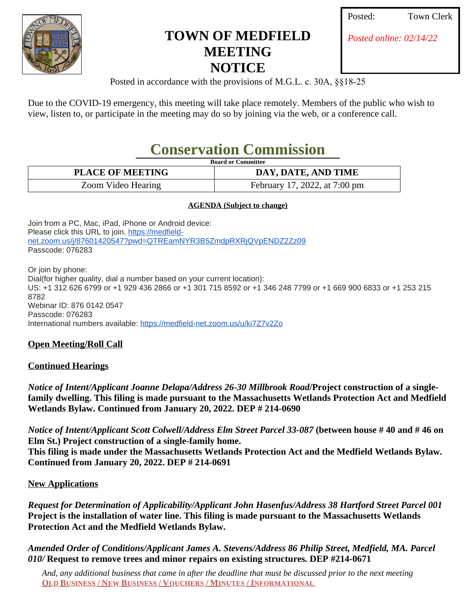

## **TOWN OF MEDFIELD MEETING NOTICE**

| Posted: | <b>Tow</b> |
|---------|------------|
|         |            |

*Posted online: 02/14/22*

Posted in accordance with the provisions of M.G.L. c. 30A, §§18-25

Due to the COVID-19 emergency, this meeting will take place remotely. Members of the public who wish to view, listen to, or participate in the meeting may do so by joining via the web, or a conference call.

# **Conservation Commission**

|--|

| <b>PLACE OF MEETING</b> | DAY, DATE, AND TIME           |
|-------------------------|-------------------------------|
| Zoom Video Hearing      | February 17, 2022, at 7:00 pm |

#### **AGENDA (Subject to change)**

Join from a PC, Mac, iPad, iPhone or Android device: Please click this URL to join. [https://medfield](https://www.google.com/url?q=https%3A%2F%2Fmedfield-net.zoom.us%2Fj%2F87601420547%3Fpwd%3DQTREamNYR3B5ZmdpRXRjQVpENDZ2Zz09&sa=D&ust=1645291214059000&usg=AOvVaw0GQjGAWUkf6cNUF46BEeTx)net.zoom.us/j/87601420547?pwd=QTREamNYR3B5ZmdpRXRjQVpENDZ2Zz09 Passcode: 076283

Or join by phone: Dial(for higher quality, dial a number based on your current location): US: +1 312 626 6799 or +1 929 436 2866 or +1 301 715 8592 or +1 346 248 7799 or +1 669 900 6833 or +1 253 215 8782 Webinar ID: 876 0142 0547 Passcode: 076283 International numbers available: [https://medfield-net.zoom.us/u/ki7Z7v2Zo](https://www.google.com/url?q=https%3A%2F%2Fmedfield-net.zoom.us%2Fu%2Fki7Z7v2Zo&sa=D&ust=1645291214060000&usg=AOvVaw1Qr13-eRKH0RtkNgC_--EI)

## **Open Meeting/Roll Call**

## **Continued Hearings**

*Notice of Intent/Applicant Joanne Delapa/Address 26-30 Millbrook Road***/Project construction of a singlefamily dwelling. This filing is made pursuant to the Massachusetts Wetlands Protection Act and Medfield Wetlands Bylaw. Continued from January 20, 2022. DEP # 214-0690**

*Notice of Intent/Applicant Scott Colwell/Address Elm Street Parcel 33-087* **(between house # 40 and # 46 on Elm St.) Project construction of a single-family home. This filing is made under the Massachusetts Wetlands Protection Act and the Medfield Wetlands Bylaw. Continued from January 20, 2022. DEP # 214-0691**

## **New Applications**

*Request for Determination of Applicability/Applicant John Hasenfus/Address 38 Hartford Street Parcel 001* **Project is the installation of water line. This filing is made pursuant to the Massachusetts Wetlands Protection Act and the Medfield Wetlands Bylaw.**

*Amended Order of Conditions/Applicant James A. Stevens/Address 86 Philip Street, Medfield, MA. Parcel 010/* **Request to remove trees and minor repairs on existing structures***.* **DEP #214-0671**

*And, any additional business that came in after the deadline that must be discussed prior to the next meeting* **OLD BUSINESS / NEW BUSINESS / VOUCHERS / MINUTES / INFORMATIONAL**